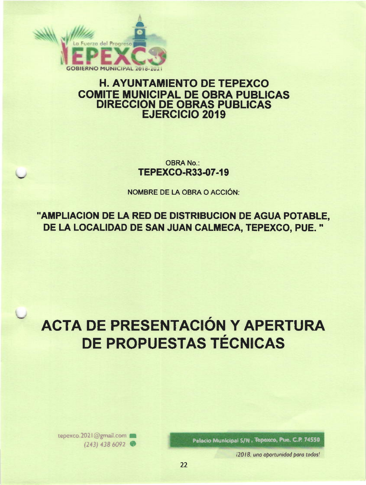

## **H. AYUNTAMIENTO DE TEPEXCO COMITE MUNICIPAL DE OBRA PUBLICAS DIRECCION DE OBRAS PUBLICAS EJERCICIO 2019**

**OBRA No.: TEPEXCO-R33-07-19** 

NOMBRE DE LA OBRA O ACCIÓN:

"AMPLIACION DE LA RED DE DISTRIBUCION DE AGUA POTABLE. DE LA LOCALIDAD DE SAN JUAN CALMECA, TEPEXCO, PUE."

# **ACTA DE PRESENTACIÓN Y APERTURA DE PROPUESTAS TÉCNICAS**

Palacio Municipal S/N , Tepexco, Pue. C.P. 74550

i2018, una aportunidad para todos!

tepexco.2021@gmail.com  $(243)$  438 6092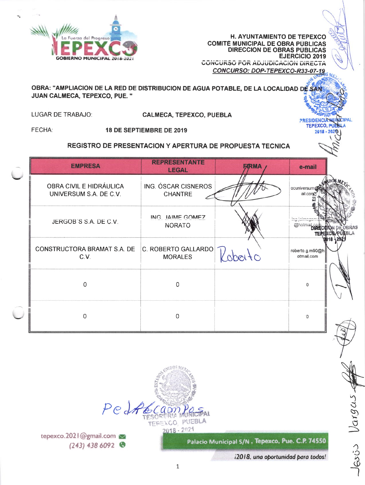

**H. AYUNTAMIENTO DE TEPEXCO COMITÉ MUNICIPAL DE OBRA PÚBLICAS** DIRECCION DE OBRAS PÚBLICAS **EJERCICIO 2019 CONCURSO FOR ADJUDICACION DIRECTA** CONCURSO: DOP-TEPEXCO-R33-07-19

> **PRESIDENCIA MU** TEPEXCO, PUEBLA

 $2018 - 2020$ 

## OBRA: "AMPLIACION DE LA RED DE DISTRIBUCION DE AGUA POTABLE, DE LA LOCALIDAD DE SAN JUAN CALMECA, TEPEXCO, PUE. "

LUGAR DE TRABAJO:

**CALMECA, TEPEXCO, PUEBLA** 

FECHA:

18 DE SEPTIEMBRE DE 2019

## REGISTRO DE PRESENTACION Y APERTURA DE PROPUESTA TECNICA

| <b>EMPRESA</b>                                    | <b>REPRESENTANTE</b><br><b>LEGAL</b>  | <b>F/RMA</b>    | e-mail                        |  |
|---------------------------------------------------|---------------------------------------|-----------------|-------------------------------|--|
| OBRA CIVIL E HIDRÁULICA<br>UNIVERSUM S.A. DE C.V. | ING. ÓSCAR CISNEROS<br><b>CHANTRE</b> |                 | ocuniversun<br>ail.com        |  |
| JERGOB'S S.A. DE C.V.                             | ING IAIME GOMEZ<br><b>NORATO</b>      |                 | @hotmail.cr                   |  |
| CONSTRUCTORA BRAMAT S.A. DE<br>C.V.               | C. ROBERTO GALLARDO<br><b>MORALES</b> | $\mathcal{A}^O$ | roberto.g.m90@h<br>otmail.com |  |
| Ω                                                 | $\Omega$                              |                 | 0                             |  |
| U                                                 | 0                                     |                 | $\Omega$                      |  |



tepexco.2021@gmail.com  $(243)$  438 6092

Palacio Municipal S/N, Tepexco, Pue. C.P. 74550

i2018, una oportunidad para todos!

 $loss53$   $Vargas$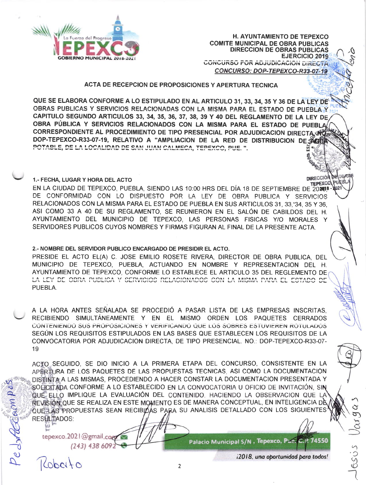

**H. AYUNTAMIENTO DE TEPEXCO COMITÉ MUNICIPAL DE OBRA PUBLICAS DIRECCION DE OBRAS PÚBLICAS EJERCICIO 2019 CONCURSO FOR ADJUDICACION DIRECTAL** CONCURSO: DOP-TEPEXCO-R33-07-19

**DIRECCIÓN** 

ACTA DE RECEPCION DE PROPOSICIONES Y APERTURA TECNICA

QUE SE ELABORA CONFORME A LO ESTIPULADO EN AL ARTICULO 31, 33, 34, 35 Y 36 DE LA LEY DE OBRAS PUBLICAS Y SERVICIOS RELACIONADAS CON LA MISMA PARA EL ESTADO DE PUEBLA Y CAPITULO SEGUNDO ARTICULOS 33, 34, 35, 36, 37, 38, 39 Y 40 DEL REGLAMENTO DE LA LEY DE OBRA PÚBLICA Y SERVICIOS RELACIONADOS CON LA MISMA PARA EL ESTADO DE PUEBLA CORRESPONDIENTE AL PROCEDIMIENTO DE TIPO PRESENCIAL POR ADJUDICACION DIRECTA. DOP-TEPEXCO-R33-07-19, RELATIVO A "AMPLIACION DE LA RED DE DISTRIBUCION DE SACTO POTABLE, DE LA LOCALIDAD DE SAN JUAN CALMECA, TEPEXCO, PUE. ".

1.- FECHA, LUGAR Y HORA DEL ACTO

**TEPEXCO** EN LA CIUDAD DE TEPEXCO, PUEBLA, SIENDO LAS 10:00 HRS DEL DÍA 18 DE SEPTIEMBRE DE 20208-DE CONFORMIDAD CON LO DISPUESTO POR LA LEY DE OBRA PUBLICA Y SERVICIOS RELACIONADOS CON LA MISMA PARA EL ESTADO DE PUEBLA EN SUS ARTICULOS 31, 33, 34, 35 Y 36. ASI COMO 33 A 40 DE SU REGLAMENTO. SE REUNIERON EN EL SALÓN DE CABILDOS DEL H. AYUNTAMIENTO DEL MUNICIPIO DE TEPEXCO. LAS PERSONAS FISICAS Y/O MORALES Y SERVIDORES PUBLICOS CUYOS NOMBRES Y FIRMAS FIGURAN AL FINAL DE LA PRESENTE ACTA.

## 2.- NOMBRE DEL SERVIDOR PUBLICO ENCARGADO DE PRESIDIR EL ACTO.

PRESIDE EL ACTO EL(A) C. JOSE EMILIO ROSETE RIVERA. DIRECTOR DE OBRA PUBLICA. DEL MUNICIPIO DE TEPEXCO, PUEBLA, ACTUANDO EN NOMBRE Y REPRESENTACION DEL H. AYUNTAMIENTO DE TEPEXCO, CONFORME LO ESTABLECE EL ARTICULO 35 DEL REGLEMENTO DE LA LEY DE OBRA PUBLICA Y SERVICIOS RELACIONADOS CON LA MISMA PARA EL ESTADO DE PUEBLA.

A LA HORA ANTES SEÑALADA SE PROCEDIÓ A PASAR LISTA DE LAS EMPRESAS INSCRITAS. RECIBIENDO SIMULTÁNEAMENTE Y EN EL MISMO ORDEN LOS PAQUETES CERRADOS CONTENIENDO SUS PROPOSICIONES Y VERIFICANDO QUE LOS SOBRES ESTUVIEREN ROTULADOS SEGUN LOS REQUISITOS ESTIPULADOS EN LAS BASES QUE ESTABLECEN LOS REQUISITOS DE LA CONVOCATORIA POR ADJUDICACION DIRECTA, DE TIPO PRESENCIAL, NO.: DOP-TEPEXCO-R33-07-19

ACTO SEGUIDO, SE DIO INICIO A LA PRIMERA ETAPA DEL CONCURSO, CONSISTENTE EN LA APERTURA DE LOS PAQUETES DE LAS PROPUESTAS TECNICAS, ASI COMO LA DOCUMENTACIÓN DISTINTA A LAS MISMAS, PROCEDIENDO A HACER CONSTAR LA DOCUMENTACIÓN PRESENTADA Y SOLICITADA CONFORME A LO ESTABLECIDO EN LA CONVOCATORIA U OFICIO DE INVITACIÓN, SIN QUE ELLO IMPLIQUE LA EVALUACIÓN DEL CONTENIDO, HACIENDO LA OBSERVACION QUE LA REVISIÓN QUE SE REALIZA EN ESTE MOMENTO ES DE MANERA CONCEPTUAL, EN INTELIGENCIA DÈ QUE LAS PROPUESTAS SEAN RECIBIDAS PARA SU ANALISIS DETALLADO CON LOS SIGUIENTES RESULTADOS:

tepexco.2021@gmail.cog (243) 438 6092

 $166c16$ 

Palacio Municipal S/N, Tepexco, Pae. C.P. 74550

i2018, una oportunidad para todos!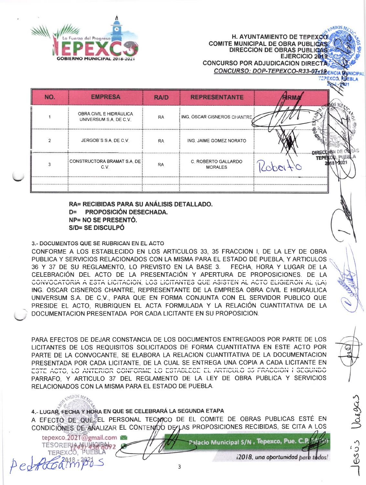

**COMITE MUNICIPAL DE OBRA PUBLICAS DIRECCION DE OBRAS PUBLICAS EJERCICIO 2019 CONCURSO POR ADJUDICACION DIRECTA** CONCURSO: DOP-TEPEXCO-R33-07-19 ENCIA

H. AYUNTAMIENTO DE TEPEXCO

**TEPEXCO, RUEBLA** 

| NO. | <b>EMPRESA</b>                                    | <b>RA/D</b> | <b>REPRESENTANTE</b>                  |                       |  |
|-----|---------------------------------------------------|-------------|---------------------------------------|-----------------------|--|
|     | OBRA CIVIL E HIDRÁULICA<br>UNIVERSUM S.A. DE C.V. | <b>RA</b>   | ING. OSCAR CISNEROS CHANTRE           |                       |  |
| ◠   | JERGOB'S S.A. DE C.V.                             | <b>RA</b>   | ING. JAIME GOMEZ NORATO               |                       |  |
|     | i CONSTRUCTORA BRAMAT S.A. DE i<br>C.V.           | <b>RA</b>   | C. ROBERTO GALLARDO<br><b>MORALES</b> | ********************* |  |
|     |                                                   |             |                                       |                       |  |

RA= RECIBIDAS PARA SU ANÁLISIS DETALLADO. D= PROPOSICIÓN DESECHADA. NP= NO SE PRESENTÓ. S/D= SE DISCULPÓ

3.- DOCUMENTOS QUE SE RUBRICAN EN EL ACTO

TESORERIANINIGRAS2 TEREXCO, PUEBLA

Pedfocamips

CONFORME A LOS ESTABLECIDO EN LOS ARTICULOS 33, 35 FRACCION I, DE LA LEY DE OBRA PUBLICA Y SERVICIOS RELACIONADOS CON LA MISMA PARA EL ESTADO DE PUEBLA. Y ARTICULOS e 36 Y 37 DE SU REGLAMENTO. LO PREVISTO EN LA BASE 3. FECHA. HORA Y LUGAR DE LA CELEBRACIÓN DEL ACTO DE LA PRESENTACIÓN Y APERTURA DE PROPOSICIONES. DE LA CONVOCATORIA A ESTA LICITACION, LOS LICITANTES QUE ASISTEN AL ACTO ELIGIERON AL (LA) ING. ÓSCAR CISNEROS CHANTRE, REPRESENTANTE DE LA EMPRESA OBRA CIVIL E HIDRÁULICA UNIVERSUM S.A. DE C.V., PARA QUE EN FORMA CONJUNTA CON EL SERVIDOR PUBLICO QUE PRESIDE EL ACTO, RUBRIQUEN EL ACTA FORMULADA Y LA RELACIÓN CUANTITATIVA DE LA DOCUMENTACION PRESENTADA POR CADA LICITANTE EN SU PROPOSICION.

PARA EFECTOS DE DEJAR CONSTANCIA DE LOS DOCUMENTOS ENTREGADOS POR PARTE DE LOS LICITANTES DE LOS REQUISITOS SOLICITADOS DE FORMA CUANTITATIVA EN ESTE ACTO POR PARTE DE LA CONVOCANTE, SE ELABORA LA RELACION CUANTITATIVA DE LA DOCUMENTACION PRESENTADA POR CADA LICITANTE, DE LA CUAL SE ENTREGA UNA COPIA A CADA LICITANTE EN ESTE ACTO, LO ANTERIOR CONFORNE LO ESTABLECE EL ARTICULO 35 FRACCION I SEGUNDO PARRAFO, Y ARTICULO 37 DEL REGLAMENTO DE LA LEY DE OBRA PUBLICA Y SERVICIOS RELACIONADOS CON LA MISMA PARA EL ESTADO DE PUEBLA.

4.- LUGAR, FECHA Y HORA EN QUE SE CELEBRARÁ LA SEGUNDA ETAPA A EFECTO DE QUE EL PERSONAL TECMICO DE EL COMITE DE OBRAS PUBLICAS ESTÉ EN CONDICIONES DE ANALIZAR EL CONTENDO DE LAS PROPOSICIONES RECIBIDAS, SE CITA A LOS tepexco.2021@gmail.com Palacio Municipal S/N , Tepexco, Pue. C.P.

3

i2018, una oportunidad para todos!

6995